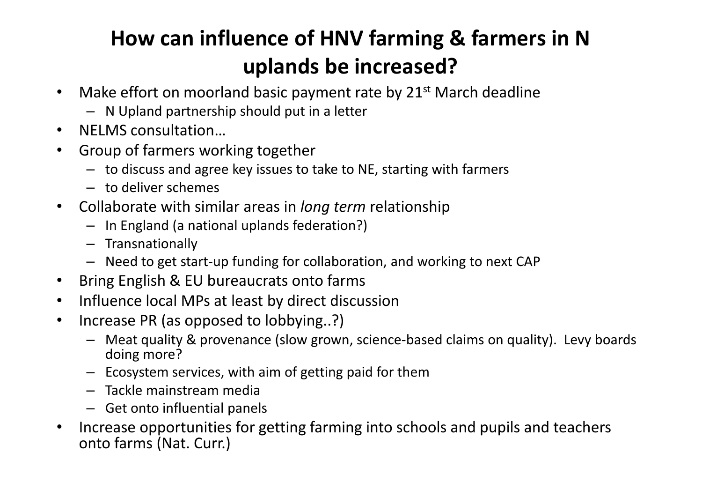## **How can influence of HNV farming & farmers in Nuplands be increased?**

- $\bullet$ Make effort on moorland basic payment rate by  $21<sup>st</sup>$  March deadline
	- N Upland partnership should put in a letter
- $\bullet$ NELMS consultation…
- **•** Group of farmers working together •
	- to discuss and agree key issues to take to NE, starting with farmers
	- to deliver schemes
- $\bullet$  Collaborate with similar areas in *long term* relationship
	- In England (a national uplands federation?)
	- Transnationally
	- Need to get start-up funding for collaboration, and working to next CAP
- $\bullet$ Bring English & EU bureaucrats onto farms
- $\bullet$ Influence local MPs at least by direct discussion
- $\bullet$  Increase PR (as opposed to lobbying..?)
	- Meat quality & provenance (slow grown, science-based claims on quality). Levy boards doing more?
	- Ecosystem services, with aim of getting paid for them
	- Tackle mainstream media
	- Get onto influential panels
- • Increase opportunities for getting farming into schools and pupils and teachers onto farms (Nat. Curr.)